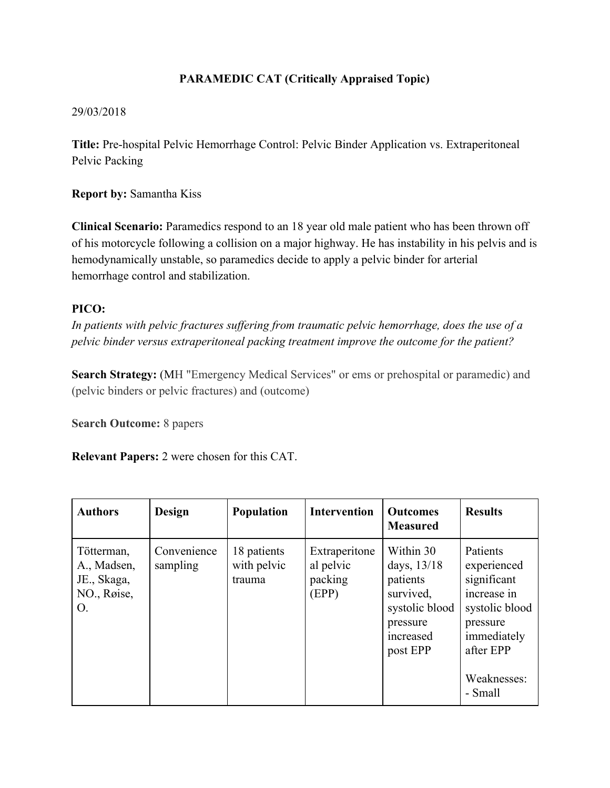## **PARAMEDIC CAT (Critically Appraised Topic)**

## 29/03/2018

**Title:** Pre-hospital Pelvic Hemorrhage Control: Pelvic Binder Application vs. Extraperitoneal Pelvic Packing

**Report by:** Samantha Kiss

**Clinical Scenario:** Paramedics respond to an 18 year old male patient who has been thrown off of his motorcycle following a collision on a major highway. He has instability in his pelvis and is hemodynamically unstable, so paramedics decide to apply a pelvic binder for arterial hemorrhage control and stabilization.

## **PICO:**

*In patients with pelvic fractures suffering from traumatic pelvic hemorrhage, does the use of a pelvic binder versus extraperitoneal packing treatment improve the outcome for the patient?*

**Search Strategy:** (MH "Emergency Medical Services" or ems or prehospital or paramedic) and (pelvic binders or pelvic fractures) and (outcome)

**Search Outcome:** 8 papers

**Relevant Papers:** 2 were chosen for this CAT.

| <b>Authors</b>                                                | <b>Design</b>           | Population                           | <b>Intervention</b>                            | <b>Outcomes</b><br><b>Measured</b>                                                                       | <b>Results</b>                                                                                                                            |
|---------------------------------------------------------------|-------------------------|--------------------------------------|------------------------------------------------|----------------------------------------------------------------------------------------------------------|-------------------------------------------------------------------------------------------------------------------------------------------|
| Tötterman,<br>A., Madsen,<br>JE., Skaga,<br>NO., Røise,<br>Ο. | Convenience<br>sampling | 18 patients<br>with pelvic<br>trauma | Extraperitone<br>al pelvic<br>packing<br>(EPP) | Within 30<br>days, 13/18<br>patients<br>survived,<br>systolic blood<br>pressure<br>increased<br>post EPP | Patients<br>experienced<br>significant<br>increase in<br>systolic blood<br>pressure<br>immediately<br>after EPP<br>Weaknesses:<br>- Small |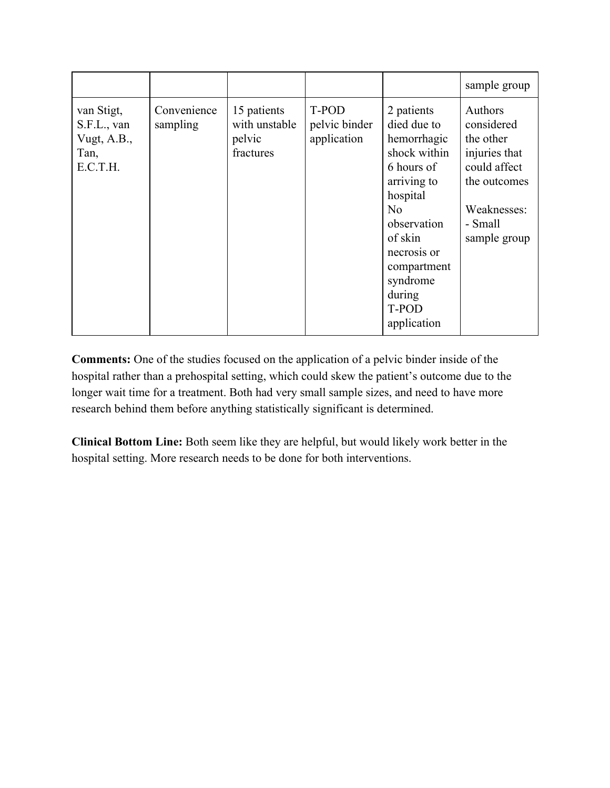|                                                              |                         |                                                     |                                       |                                                                                                                                                                                                                           | sample group                                                                                                                  |
|--------------------------------------------------------------|-------------------------|-----------------------------------------------------|---------------------------------------|---------------------------------------------------------------------------------------------------------------------------------------------------------------------------------------------------------------------------|-------------------------------------------------------------------------------------------------------------------------------|
| van Stigt,<br>S.F.L., van<br>Vugt, A.B.,<br>Tan,<br>E.C.T.H. | Convenience<br>sampling | 15 patients<br>with unstable<br>pelvic<br>fractures | T-POD<br>pelvic binder<br>application | 2 patients<br>died due to<br>hemorrhagic<br>shock within<br>6 hours of<br>arriving to<br>hospital<br>N <sub>0</sub><br>observation<br>of skin<br>necrosis or<br>compartment<br>syndrome<br>during<br>T-POD<br>application | Authors<br>considered<br>the other<br>injuries that<br>could affect<br>the outcomes<br>Weaknesses:<br>- Small<br>sample group |

**Comments:** One of the studies focused on the application of a pelvic binder inside of the hospital rather than a prehospital setting, which could skew the patient's outcome due to the longer wait time for a treatment. Both had very small sample sizes, and need to have more research behind them before anything statistically significant is determined.

**Clinical Bottom Line:** Both seem like they are helpful, but would likely work better in the hospital setting. More research needs to be done for both interventions.